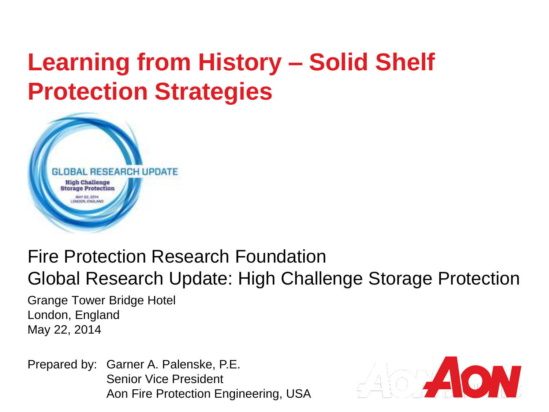# **Learning from History – Solid Shelf Protection Strategies**



#### Fire Protection Research Foundation Global Research Update: High Challenge Storage Protection

Grange Tower Bridge Hotel London, England May 22, 2014

Prepared by: Garner A. Palenske, P.E. Senior Vice President Aon Fire Protection Engineering, USA

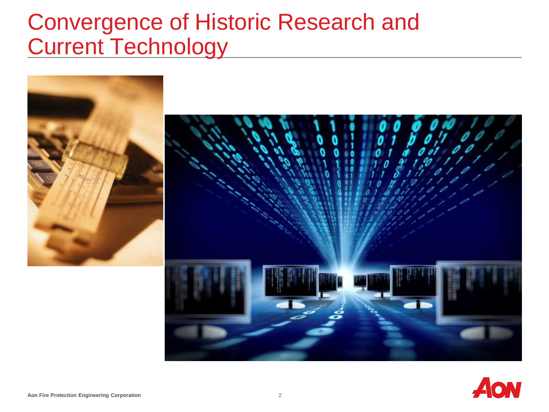#### Convergence of Historic Research and Current Technology



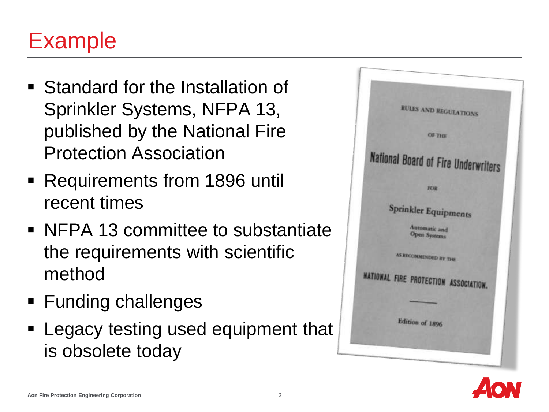### Example

- **Standard for the Installation of** Sprinkler Systems, NFPA 13, published by the National Fire Protection Association
- Requirements from 1896 until recent times
- NFPA 13 committee to substantiate the requirements with scientific method
- **Funding challenges**
- **Example 1 Legacy testing used equipment that** is obsolete today



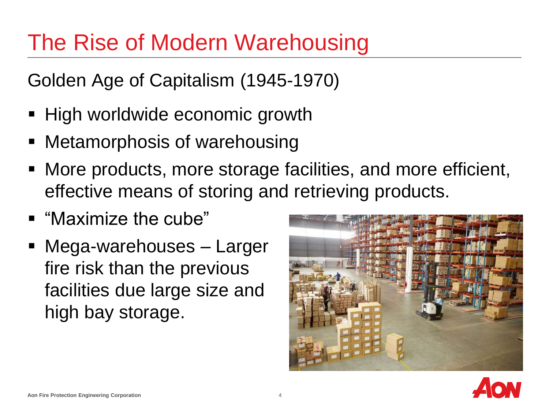## The Rise of Modern Warehousing

Golden Age of Capitalism (1945-1970)

- **High worldwide economic growth**
- Metamorphosis of warehousing
- More products, more storage facilities, and more efficient, effective means of storing and retrieving products.
- "Maximize the cube"
- Mega-warehouses Larger fire risk than the previous facilities due large size and high bay storage.



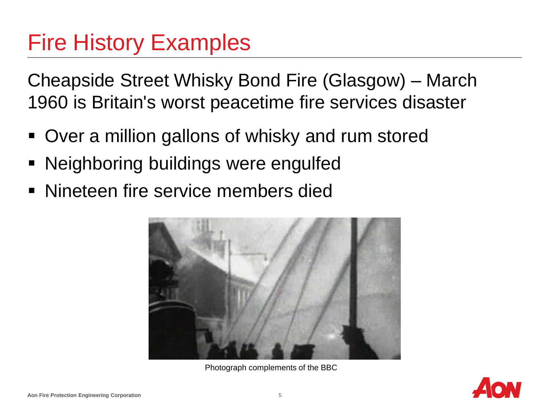## Fire History Examples

Cheapside Street Whisky Bond Fire (Glasgow) – March 1960 is Britain's worst peacetime fire services disaster

- Over a million gallons of whisky and rum stored
- Neighboring buildings were engulfed
- **Nineteen fire service members died**



Photograph complements of the BBC

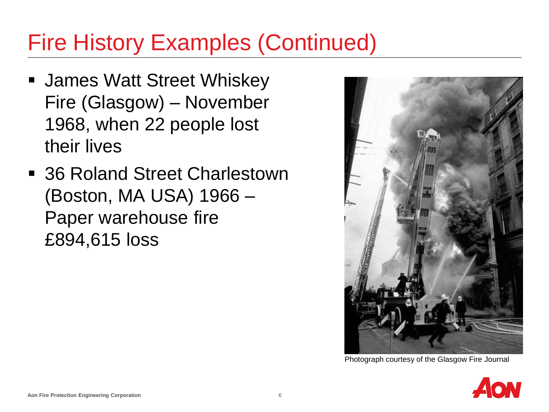## Fire History Examples (Continued)

- **James Watt Street Whiskey** Fire (Glasgow) – November 1968, when 22 people lost their lives
- 36 Roland Street Charlestown (Boston, MA USA) 1966 – Paper warehouse fire £894,615 loss



Photograph courtesy of the Glasgow Fire Journal

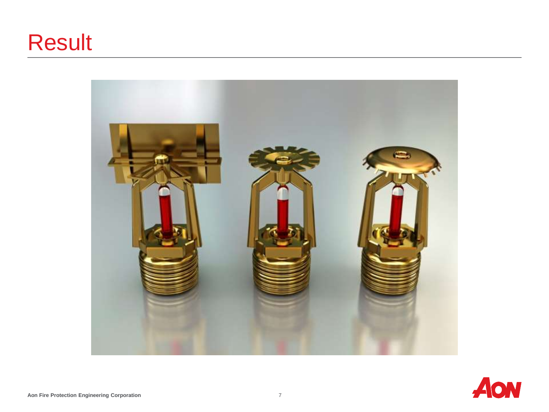## Result



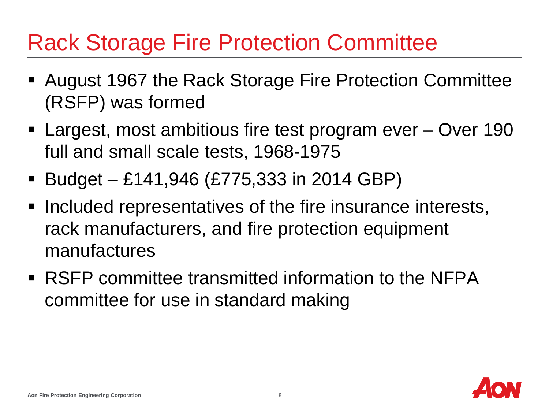## Rack Storage Fire Protection Committee

- August 1967 the Rack Storage Fire Protection Committee (RSFP) was formed
- Largest, most ambitious fire test program ever Over 190 full and small scale tests, 1968-1975
- Budget £141,946 (£775,333 in 2014 GBP)
- **Included representatives of the fire insurance interests,** rack manufacturers, and fire protection equipment manufactures
- RSFP committee transmitted information to the NFPA committee for use in standard making

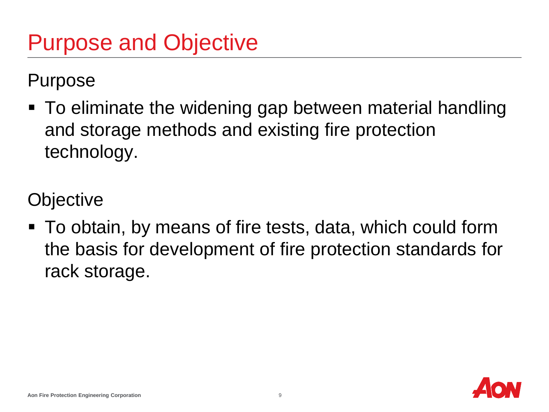Purpose

 To eliminate the widening gap between material handling and storage methods and existing fire protection technology.

**Objective** 

 To obtain, by means of fire tests, data, which could form the basis for development of fire protection standards for rack storage.

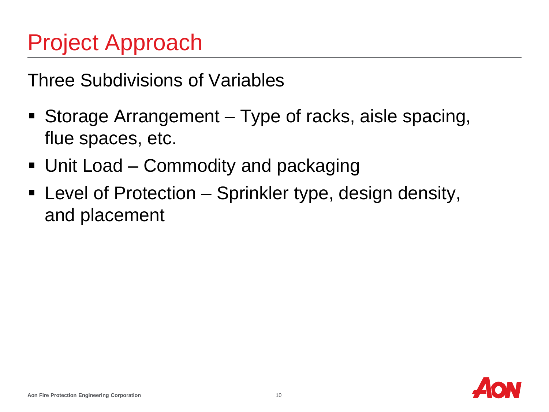# Project Approach

Three Subdivisions of Variables

- Storage Arrangement Type of racks, aisle spacing, flue spaces, etc.
- Unit Load Commodity and packaging
- Level of Protection Sprinkler type, design density, and placement

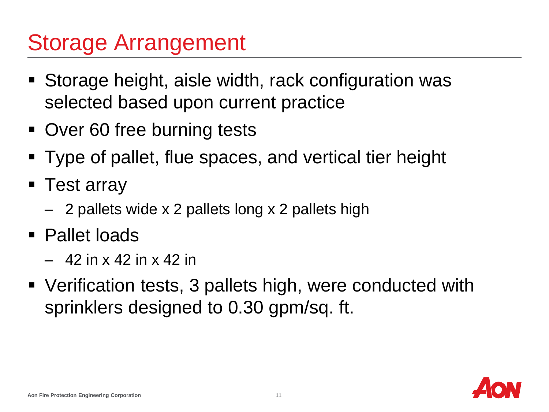## Storage Arrangement

- Storage height, aisle width, rack configuration was selected based upon current practice
- Over 60 free burning tests
- Type of pallet, flue spaces, and vertical tier height
- **Test array** 
	- 2 pallets wide x 2 pallets long x 2 pallets high
- Pallet loads
	- 42 in x 42 in x 42 in
- Verification tests, 3 pallets high, were conducted with sprinklers designed to 0.30 gpm/sq. ft.

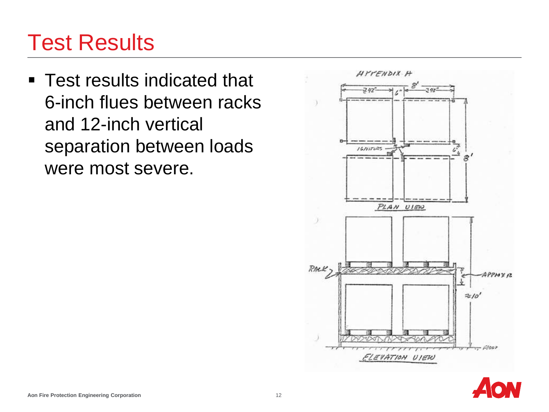## Test Results

**Test results indicated that** 6-inch flues between racks and 12-inch vertical separation between loads were most severe.



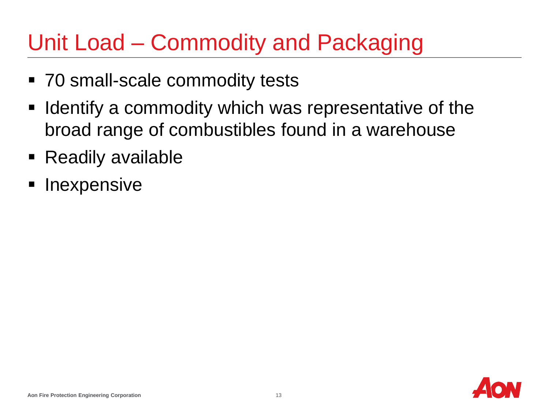# Unit Load – Commodity and Packaging

- 70 small-scale commodity tests
- **IDED** Identify a commodity which was representative of the broad range of combustibles found in a warehouse
- Readily available
- Inexpensive

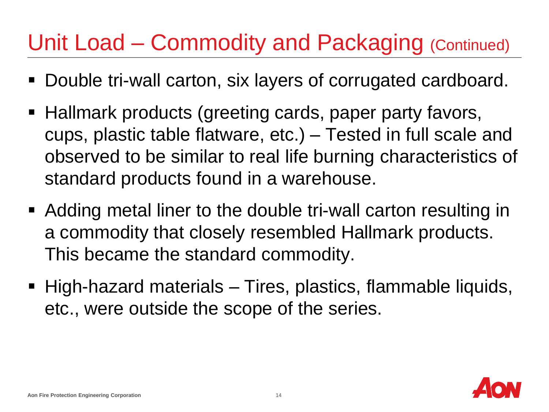## Unit Load – Commodity and Packaging (Continued)

- Double tri-wall carton, six layers of corrugated cardboard.
- Hallmark products (greeting cards, paper party favors, cups, plastic table flatware, etc.) – Tested in full scale and observed to be similar to real life burning characteristics of standard products found in a warehouse.
- Adding metal liner to the double tri-wall carton resulting in a commodity that closely resembled Hallmark products. This became the standard commodity.
- High-hazard materials Tires, plastics, flammable liquids, etc., were outside the scope of the series.

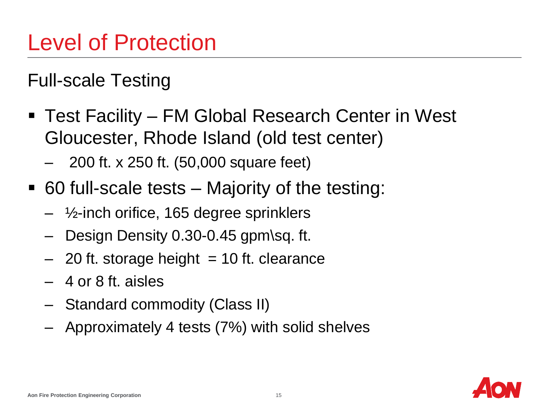Full-scale Testing

- Test Facility FM Global Research Center in West Gloucester, Rhode Island (old test center)
	- 200 ft. x 250 ft. (50,000 square feet)
- 60 full-scale tests Majority of the testing:
	- $\frac{1}{2}$ -inch orifice, 165 degree sprinklers
	- Design Density 0.30-0.45 gpm\sq. ft.
	- $-$  20 ft. storage height  $= 10$  ft. clearance
	- 4 or 8 ft. aisles
	- Standard commodity (Class II)
	- Approximately 4 tests (7%) with solid shelves

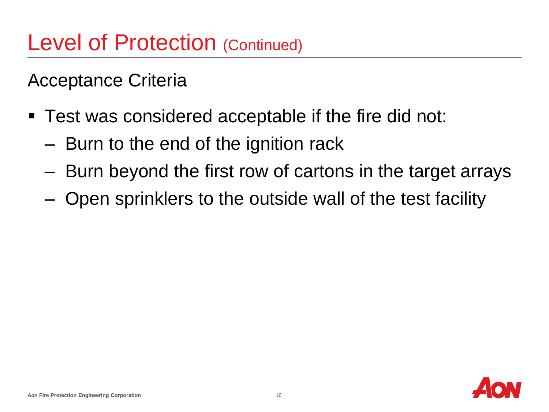Acceptance Criteria

- Test was considered acceptable if the fire did not:
	- Burn to the end of the ignition rack
	- Burn beyond the first row of cartons in the target arrays
	- Open sprinklers to the outside wall of the test facility

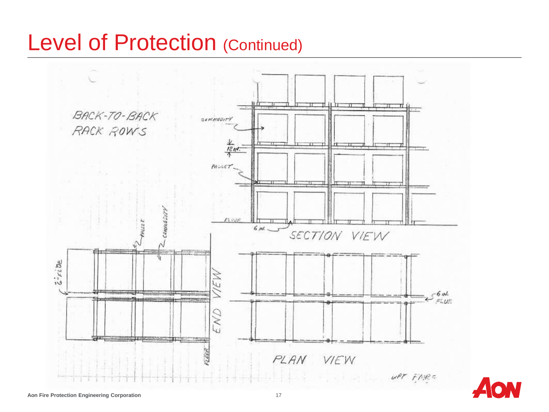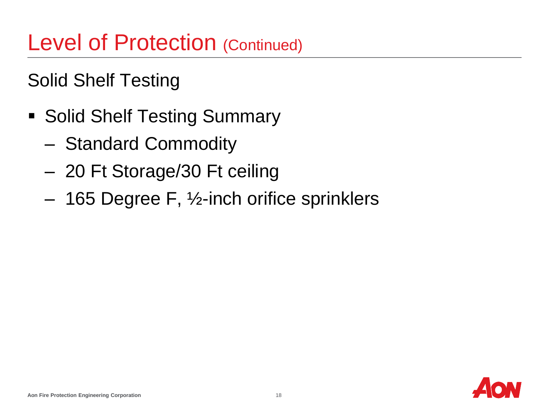Solid Shelf Testing

- Solid Shelf Testing Summary
	- Standard Commodity
	- 20 Ft Storage/30 Ft ceiling
	- 165 Degree F, ½-inch orifice sprinklers

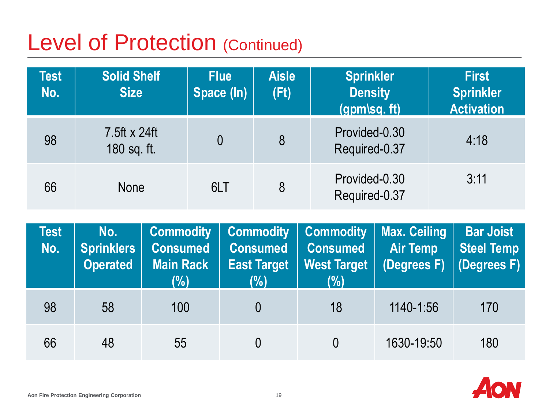| <b>Test</b><br>No.            | <b>Solid Shelf</b><br><b>Size</b> |                              | <b>Flue</b><br>Space (In) | <b>Sprinkler</b><br><b>Aisle</b><br><b>Density</b><br>(Ft)<br>(gpm\sq. ft) |                              |                                 |  | <b>First</b><br><b>Sprinkler</b><br><b>Activation</b> |
|-------------------------------|-----------------------------------|------------------------------|---------------------------|----------------------------------------------------------------------------|------------------------------|---------------------------------|--|-------------------------------------------------------|
| 98                            | $7.5$ ft x 24ft<br>180 sq. ft.    |                              | $\overline{0}$            | 8                                                                          |                              | Provided-0.30<br>Required-0.37  |  | 4:18                                                  |
| 66                            | <b>None</b>                       |                              | 6LT                       | 8                                                                          |                              | Provided-0.30<br>Required-0.37  |  | 3:11                                                  |
| <b>Test</b><br>N <sub>0</sub> | No.<br><b>Snrinklare</b>          | <b>Commodity</b><br>Concumod |                           | <b>Commodity</b><br>Concumed                                               | <b>Commodity</b><br>Concumed | <b>Max. Ceiling</b><br>Air Tamn |  | <b>Bar Joist</b><br><b>Staal Tamn</b>                 |

| Test<br>No. | NO.<br><b>Sprinklers</b><br><b>Operated</b> | <b>Consumed</b><br><b>Main Rack</b><br>(%) | Consumed  <br><b>East Target</b><br>(%) | <b>Consumed</b><br>West Target<br>(%) | Commodity   Commodity   Commodity   Max. Cening  <br><b>Air Temp</b> | Dar Joist<br><b>Steel Temp</b><br>(Degrees $F$ ) (Degrees $F$ ) |
|-------------|---------------------------------------------|--------------------------------------------|-----------------------------------------|---------------------------------------|----------------------------------------------------------------------|-----------------------------------------------------------------|
| 98          | 58                                          | 100                                        | 0                                       | 18                                    | 1140-1:56                                                            | 170                                                             |
| 66          | 48                                          | 55                                         | 0                                       |                                       | 1630-19:50                                                           | 180                                                             |

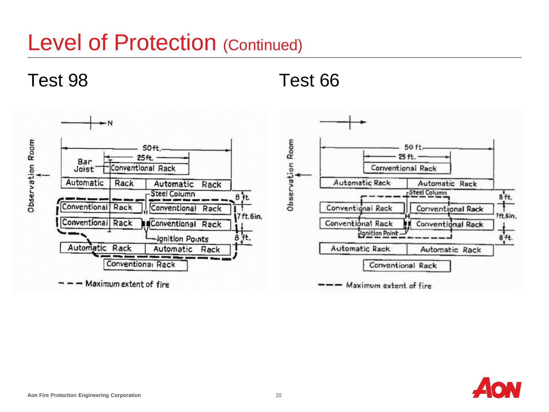Test 98 Test 66



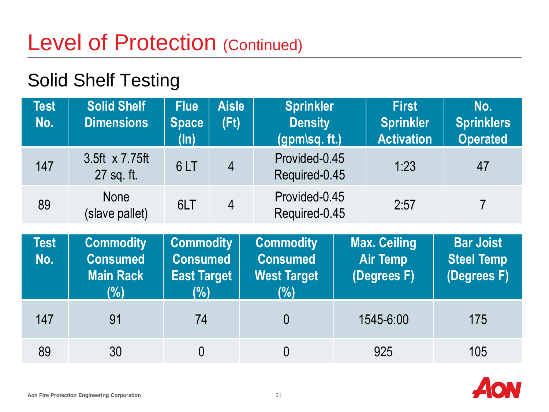#### Solid Shelf Testing

| <b>Test</b><br>No. | <b>Solid Shelf</b><br><b>Dimensions</b>                        | <b>Flue</b><br><b>Space</b><br>$(\ln)$                                         | <b>Aisle</b><br>(Ft) | <b>Sprinkler</b><br><b>Density</b><br>$(gpm\$ sq. ft.)           |  | <b>First</b><br><b>Sprinkler</b><br><b>Activation</b> | No.<br><b>Sprinklers</b><br><b>Operated</b>          |
|--------------------|----------------------------------------------------------------|--------------------------------------------------------------------------------|----------------------|------------------------------------------------------------------|--|-------------------------------------------------------|------------------------------------------------------|
| 147                | 3.5ft x 7.75ft<br>27 sq. ft.                                   | 6LT                                                                            | $\overline{4}$       | Provided-0.45<br>Required-0.45                                   |  | 1:23                                                  | 47                                                   |
| 89                 | <b>None</b><br>(slave pallet)                                  | 6LT                                                                            | $\overline{4}$       | Provided-0.45<br>Required-0.45                                   |  | 2:57                                                  | $\overline{7}$                                       |
|                    |                                                                |                                                                                |                      |                                                                  |  |                                                       |                                                      |
| <b>Test</b><br>No. | <b>Commodity</b><br><b>Consumed</b><br><b>Main Rack</b><br>(%) | <b>Commodity</b><br><b>Consumed</b><br><b>East Target</b><br>$\overline{(\%)}$ |                      | <b>Commodity</b><br><b>Consumed</b><br><b>West Target</b><br>(%) |  | <b>Max. Ceiling</b><br><b>Air Temp</b><br>(Degrees F) | <b>Bar Joist</b><br><b>Steel Temp</b><br>(Degrees F) |
| 147                | 91                                                             | 74                                                                             |                      | $\overline{0}$                                                   |  | 1545-6:00                                             | 175                                                  |

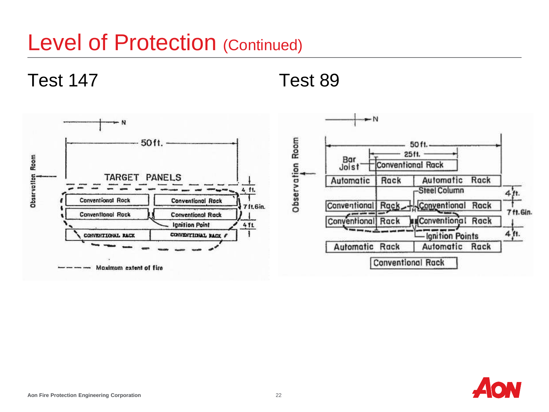Test 147 Test 89



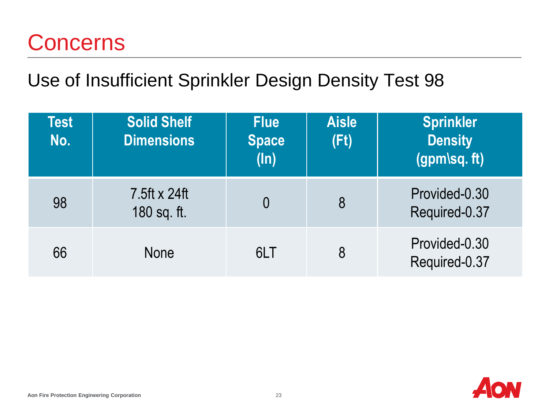#### **Concerns**

#### Use of Insufficient Sprinkler Design Density Test 98

| <b>Test</b><br>No. | <b>Solid Shelf</b><br><b>Dimensions</b> | <b>Flue</b><br><b>Space</b><br>$(\ln)$ | <b>Aisle</b><br>(Ft) | <b>Sprinkler</b><br><b>Density</b><br>(gpm\sq. ft) |
|--------------------|-----------------------------------------|----------------------------------------|----------------------|----------------------------------------------------|
| 98                 | 7.5ft x 24ft<br>180 sq. ft.             | $\overline{0}$                         | 8                    | Provided-0.30<br>Required-0.37                     |
| 66                 | <b>None</b>                             | 6LT                                    | 8                    | Provided-0.30<br>Required-0.37                     |

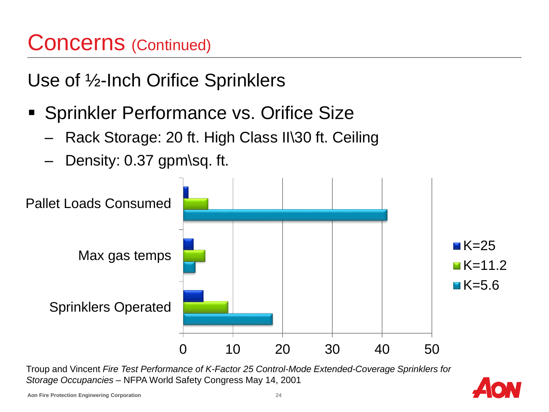## Concerns (Continued)

Use of ½-Inch Orifice Sprinklers

- **Sprinkler Performance vs. Orifice Size** 
	- Rack Storage: 20 ft. High Class II\30 ft. Ceiling
	- Density: 0.37 gpm\sq. ft.



Troup and Vincent *Fire Test Performance of K-Factor 25 Control-Mode Extended-Coverage Sprinklers for Storage Occupancies* – NFPA World Safety Congress May 14, 2001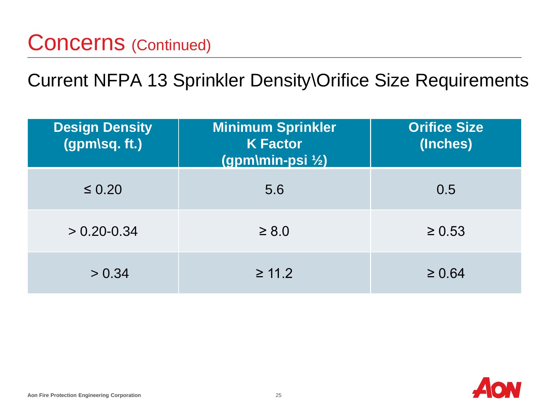Current NFPA 13 Sprinkler Density\Orifice Size Requirements

| <b>Design Density</b><br>(gpm\sq. ft.) | <b>Minimum Sprinkler</b><br><b>K Factor</b><br>(gpm\min-psi 1/2) | <b>Orifice Size</b><br>(Inches) |
|----------------------------------------|------------------------------------------------------------------|---------------------------------|
| $\leq 0.20$                            | 5.6                                                              | 0.5                             |
| $> 0.20 - 0.34$                        | $\geq 8.0$                                                       | $\geq 0.53$                     |
| > 0.34                                 | $\geq 11.2$                                                      | $\geq 0.64$                     |

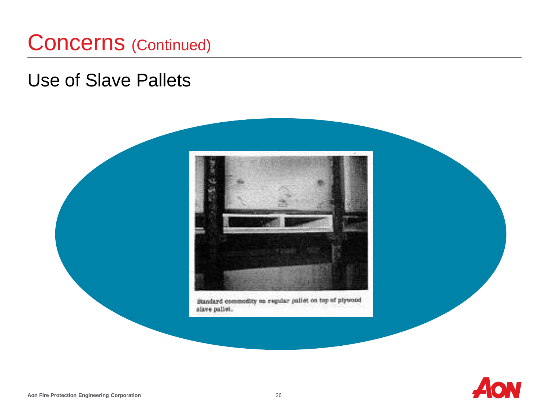#### Concerns (Continued)

#### Use of Slave Pallets



Standard commodity on regular pallet on top of plytood slave pallet.

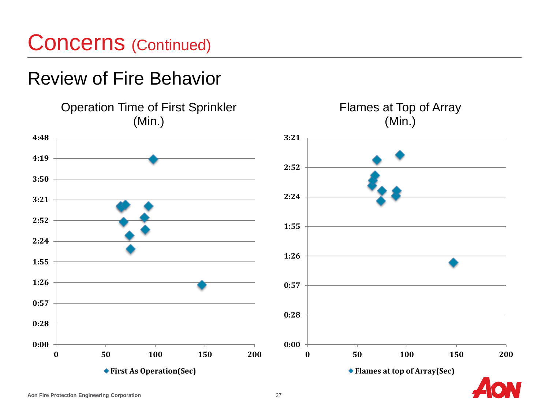#### Concerns (Continued)

#### Review of Fire Behavior

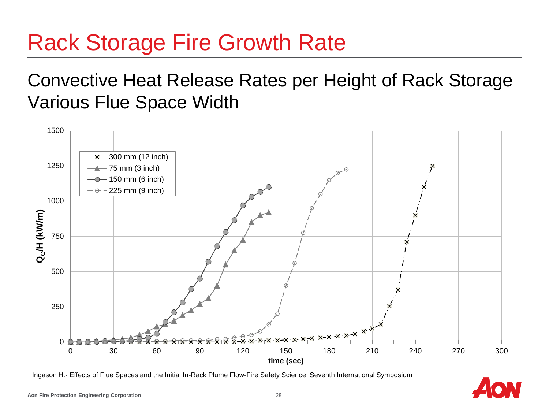# Rack Storage Fire Growth Rate

#### Convective Heat Release Rates per Height of Rack Storage Various Flue Space Width



Ingason H.- Effects of Flue Spaces and the Initial In-Rack Plume Flow-Fire Safety Science, Seventh International Symposium

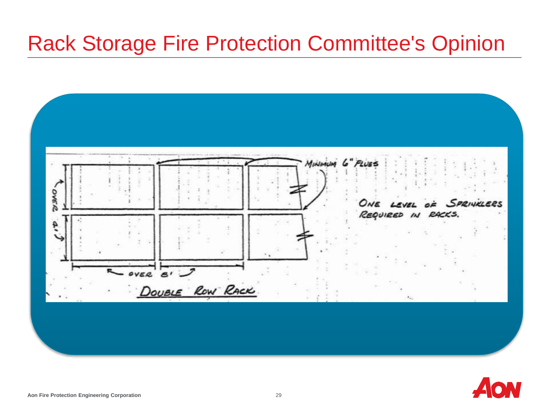#### Rack Storage Fire Protection Committee's Opinion



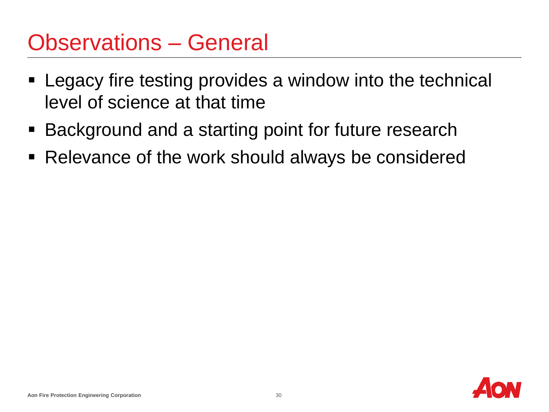#### Observations – General

- Legacy fire testing provides a window into the technical level of science at that time
- Background and a starting point for future research
- Relevance of the work should always be considered

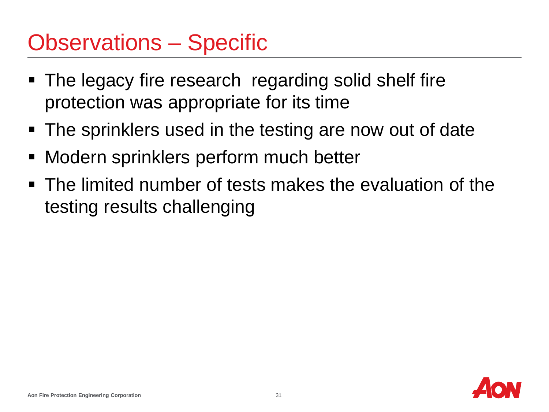### Observations – Specific

- The legacy fire research regarding solid shelf fire protection was appropriate for its time
- The sprinklers used in the testing are now out of date
- **Modern sprinklers perform much better**
- The limited number of tests makes the evaluation of the testing results challenging

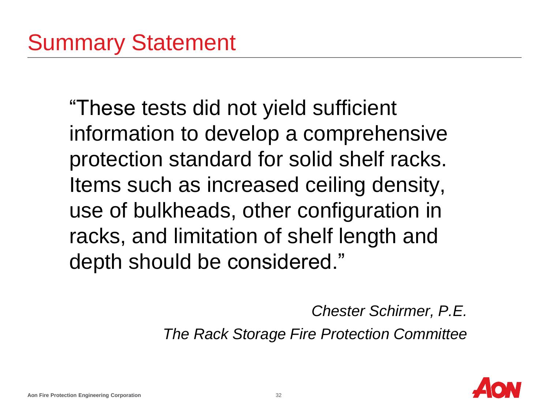"These tests did not yield sufficient information to develop a comprehensive protection standard for solid shelf racks. Items such as increased ceiling density, use of bulkheads, other configuration in racks, and limitation of shelf length and depth should be considered."

*Chester Schirmer, P.E.*

*The Rack Storage Fire Protection Committee*

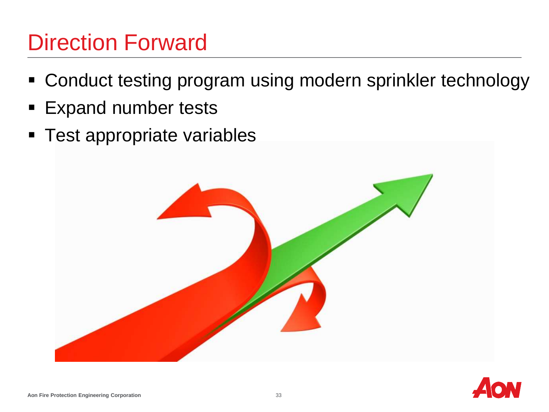## Direction Forward

- Conduct testing program using modern sprinkler technology
- **Expand number tests**
- **Test appropriate variables**